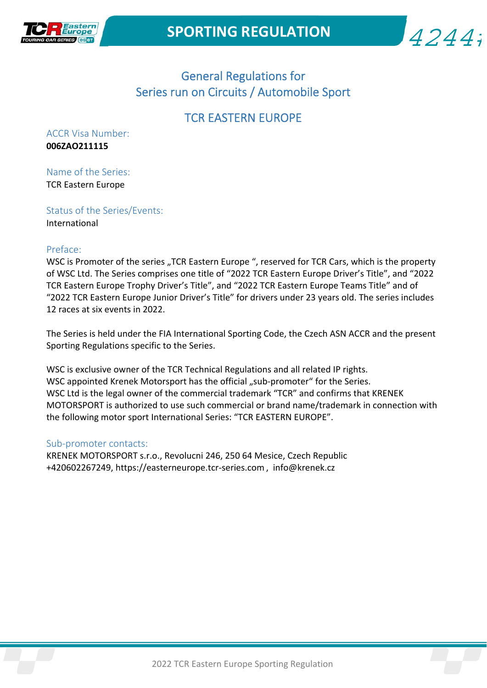



# General Regulations for Series run on Circuits / Automobile Sport

# TCR EASTERN EUROPE

ACCR Visa Number: **006ZAO211115**

Name of the Series: TCR Eastern Europe

Status of the Series/Events: International

#### Preface:

WSC is Promoter of the series "TCR Eastern Europe ", reserved for TCR Cars, which is the property of WSC Ltd. The Series comprises one title of "2022 TCR Eastern Europe Driver's Title", and "2022 TCR Eastern Europe Trophy Driver's Title", and "2022 TCR Eastern Europe Teams Title" and of "2022 TCR Eastern Europe Junior Driver's Title" for drivers under 23 years old. The series includes 12 races at six events in 2022.

The Series is held under the FIA International Sporting Code, the Czech ASN ACCR and the present Sporting Regulations specific to the Series.

WSC is exclusive owner of the TCR Technical Regulations and all related IP rights. WSC appointed Krenek Motorsport has the official "sub-promoter" for the Series. WSC Ltd is the legal owner of the commercial trademark "TCR" and confirms that KRENEK MOTORSPORT is authorized to use such commercial or brand name/trademark in connection with the following motor sport International Series: "TCR EASTERN EUROPE".

#### Sub‐promoter contacts:

KRENEK MOTORSPORT s.r.o., Revolucni 246, 250 64 Mesice, Czech Republic +420602267249, https://easterneurope.tcr‐series.com , info@krenek.cz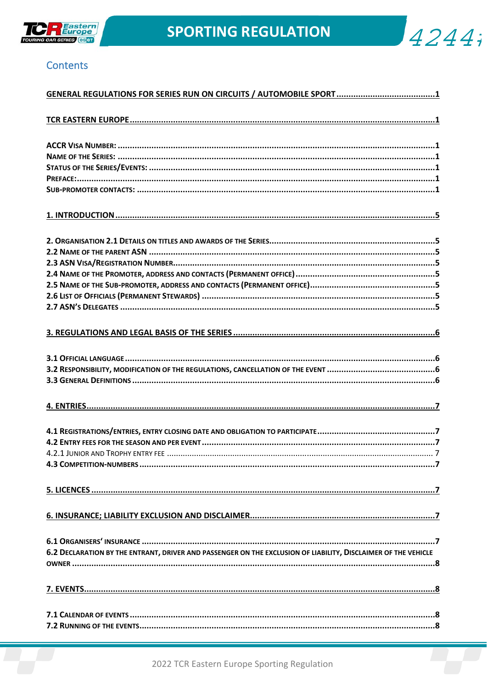



## **Contents**

| 6.2 DECLARATION BY THE ENTRANT, DRIVER AND PASSENGER ON THE EXCLUSION OF LIABILITY, DISCLAIMER OF THE VEHICLE |
|---------------------------------------------------------------------------------------------------------------|
|                                                                                                               |
|                                                                                                               |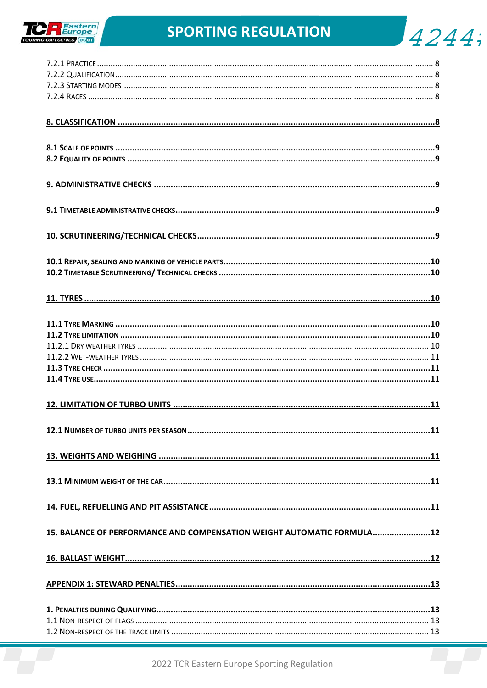

 $4244$ 

| 15. BALANCE OF PERFORMANCE AND COMPENSATION WEIGHT AUTOMATIC FORMULA12 |  |
|------------------------------------------------------------------------|--|
|                                                                        |  |
|                                                                        |  |
|                                                                        |  |
|                                                                        |  |
|                                                                        |  |
|                                                                        |  |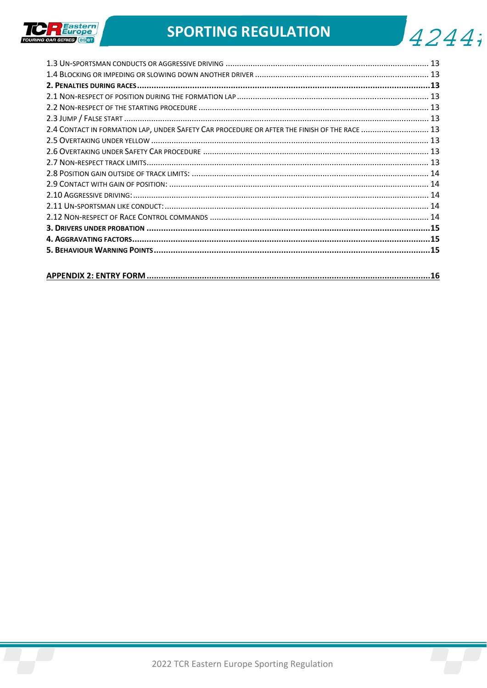

| J4244; |  |  |
|--------|--|--|
|        |  |  |

| 2.4 CONTACT IN FORMATION LAP, UNDER SAFETY CAR PROCEDURE OR AFTER THE FINISH OF THE RACE  13 |  |
|----------------------------------------------------------------------------------------------|--|
|                                                                                              |  |
|                                                                                              |  |
|                                                                                              |  |
|                                                                                              |  |
|                                                                                              |  |
|                                                                                              |  |
|                                                                                              |  |
|                                                                                              |  |
|                                                                                              |  |
|                                                                                              |  |
|                                                                                              |  |
|                                                                                              |  |
|                                                                                              |  |

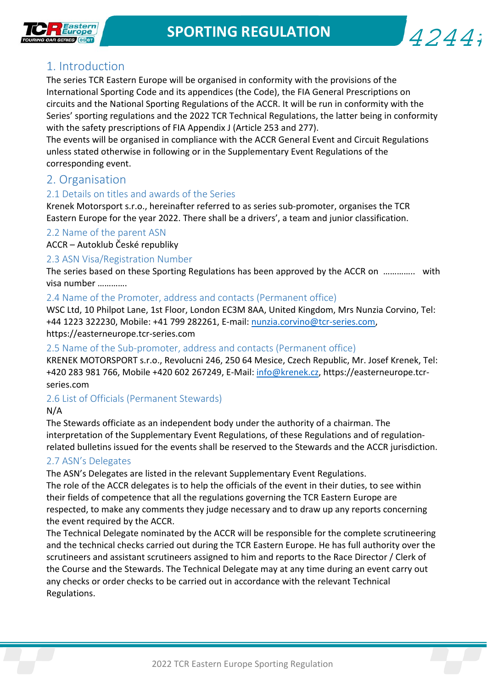4244;



# 1. Introduction

The series TCR Eastern Europe will be organised in conformity with the provisions of the International Sporting Code and its appendices (the Code), the FIA General Prescriptions on circuits and the National Sporting Regulations of the ACCR. It will be run in conformity with the Series' sporting regulations and the 2022 TCR Technical Regulations, the latter being in conformity with the safety prescriptions of FIA Appendix J (Article 253 and 277).

The events will be organised in compliance with the ACCR General Event and Circuit Regulations unless stated otherwise in following or in the Supplementary Event Regulations of the corresponding event.

## 2. Organisation

## 2.1 Details on titles and awards of the Series

Krenek Motorsport s.r.o., hereinafter referred to as series sub‐promoter, organises the TCR Eastern Europe for the year 2022. There shall be a drivers', a team and junior classification.

## 2.2 Name of the parent ASN

ACCR – Autoklub České republiky

#### 2.3 ASN Visa/Registration Number

The series based on these Sporting Regulations has been approved by the ACCR on  $\ldots$ … visa number ………….

#### 2.4 Name of the Promoter, address and contacts (Permanent office)

WSC Ltd, 10 Philpot Lane, 1st Floor, London EC3M 8AA, United Kingdom, Mrs Nunzia Corvino, Tel: +44 1223 322230, Mobile: +41 799 282261, E-mail: nunzia.corvino@tcr-series.com, https://easterneurope.tcr‐series.com

#### 2.5 Name of the Sub‐promoter, address and contacts (Permanent office)

KRENEK MOTORSPORT s.r.o., Revolucni 246, 250 64 Mesice, Czech Republic, Mr. Josef Krenek, Tel: +420 283 981 766, Mobile +420 602 267249, E‐Mail: info@krenek.cz, https://easterneurope.tcr‐ series.com

## 2.6 List of Officials (Permanent Stewards)

#### N/A

The Stewards officiate as an independent body under the authority of a chairman. The interpretation of the Supplementary Event Regulations, of these Regulations and of regulation‐ related bulletins issued for the events shall be reserved to the Stewards and the ACCR jurisdiction.

## 2.7 ASN's Delegates

The ASN's Delegates are listed in the relevant Supplementary Event Regulations.

The role of the ACCR delegates is to help the officials of the event in their duties, to see within their fields of competence that all the regulations governing the TCR Eastern Europe are respected, to make any comments they judge necessary and to draw up any reports concerning the event required by the ACCR.

The Technical Delegate nominated by the ACCR will be responsible for the complete scrutineering and the technical checks carried out during the TCR Eastern Europe. He has full authority over the scrutineers and assistant scrutineers assigned to him and reports to the Race Director / Clerk of the Course and the Stewards. The Technical Delegate may at any time during an event carry out any checks or order checks to be carried out in accordance with the relevant Technical Regulations.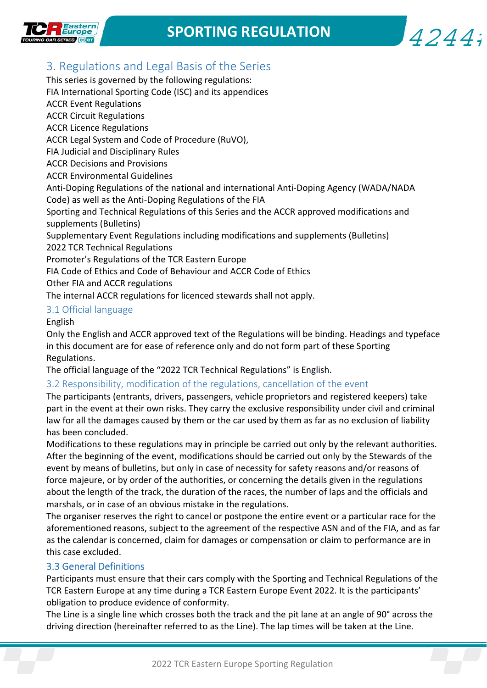

 $4244:$ 



This series is governed by the following regulations: FIA International Sporting Code (ISC) and its appendices ACCR Event Regulations ACCR Circuit Regulations ACCR Licence Regulations ACCR Legal System and Code of Procedure (RuVO), FIA Judicial and Disciplinary Rules ACCR Decisions and Provisions ACCR Environmental Guidelines Anti‐Doping Regulations of the national and international Anti‐Doping Agency (WADA/NADA Code) as well as the Anti‐Doping Regulations of the FIA Sporting and Technical Regulations of this Series and the ACCR approved modifications and supplements (Bulletins) Supplementary Event Regulations including modifications and supplements (Bulletins) 2022 TCR Technical Regulations Promoter's Regulations of the TCR Eastern Europe FIA Code of Ethics and Code of Behaviour and ACCR Code of Ethics Other FIA and ACCR regulations The internal ACCR regulations for licenced stewards shall not apply.

## 3.1 Official language

English

Only the English and ACCR approved text of the Regulations will be binding. Headings and typeface in this document are for ease of reference only and do not form part of these Sporting Regulations.

The official language of the "2022 TCR Technical Regulations" is English.

#### 3.2 Responsibility, modification of the regulations, cancellation of the event

The participants (entrants, drivers, passengers, vehicle proprietors and registered keepers) take part in the event at their own risks. They carry the exclusive responsibility under civil and criminal law for all the damages caused by them or the car used by them as far as no exclusion of liability has been concluded.

Modifications to these regulations may in principle be carried out only by the relevant authorities. After the beginning of the event, modifications should be carried out only by the Stewards of the event by means of bulletins, but only in case of necessity for safety reasons and/or reasons of force majeure, or by order of the authorities, or concerning the details given in the regulations about the length of the track, the duration of the races, the number of laps and the officials and marshals, or in case of an obvious mistake in the regulations.

The organiser reserves the right to cancel or postpone the entire event or a particular race for the aforementioned reasons, subject to the agreement of the respective ASN and of the FIA, and as far as the calendar is concerned, claim for damages or compensation or claim to performance are in this case excluded.

#### 3.3 General Definitions

Participants must ensure that their cars comply with the Sporting and Technical Regulations of the TCR Eastern Europe at any time during a TCR Eastern Europe Event 2022. It is the participants' obligation to produce evidence of conformity.

The Line is a single line which crosses both the track and the pit lane at an angle of 90° across the driving direction (hereinafter referred to as the Line). The lap times will be taken at the Line.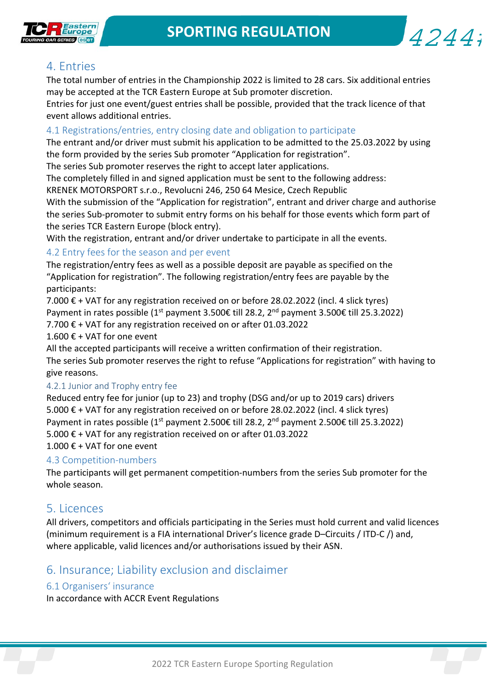



# 4. Entries

The total number of entries in the Championship 2022 is limited to 28 cars. Six additional entries may be accepted at the TCR Eastern Europe at Sub promoter discretion.

Entries for just one event/guest entries shall be possible, provided that the track licence of that event allows additional entries.

#### 4.1 Registrations/entries, entry closing date and obligation to participate

The entrant and/or driver must submit his application to be admitted to the 25.03.2022 by using the form provided by the series Sub promoter "Application for registration".

The series Sub promoter reserves the right to accept later applications.

The completely filled in and signed application must be sent to the following address:

KRENEK MOTORSPORT s.r.o., Revolucni 246, 250 64 Mesice, Czech Republic

With the submission of the "Application for registration", entrant and driver charge and authorise the series Sub‐promoter to submit entry forms on his behalf for those events which form part of the series TCR Eastern Europe (block entry).

With the registration, entrant and/or driver undertake to participate in all the events.

## 4.2 Entry fees for the season and per event

The registration/entry fees as well as a possible deposit are payable as specified on the "Application for registration". The following registration/entry fees are payable by the participants:

7.000  $€$  + VAT for any registration received on or before 28.02.2022 (incl. 4 slick tyres) Payment in rates possible (1<sup>st</sup> payment 3.500€ till 28.2, 2<sup>nd</sup> payment 3.500€ till 25.3.2022) 7.700 € + VAT for any registration received on or after 01.03.2022

1.600 € + VAT for one event

All the accepted participants will receive a written confirmation of their registration. The series Sub promoter reserves the right to refuse "Applications for registration" with having to give reasons.

## 4.2.1 Junior and Trophy entry fee

Reduced entry fee for junior (up to 23) and trophy (DSG and/or up to 2019 cars) drivers 5.000 € + VAT for any registration received on or before 28.02.2022 (incl. 4 slick tyres) Payment in rates possible (1<sup>st</sup> payment 2.500€ till 28.2, 2<sup>nd</sup> payment 2.500€ till 25.3.2022) 5.000 € + VAT for any registration received on or after 01.03.2022 1.000 € + VAT for one event

## 4.3 Competition‐numbers

The participants will get permanent competition‐numbers from the series Sub promoter for the whole season.

## 5. Licences

All drivers, competitors and officials participating in the Series must hold current and valid licences (minimum requirement is a FIA international Driver's licence grade D–Circuits / ITD‐C /) and, where applicable, valid licences and/or authorisations issued by their ASN.

# 6. Insurance; Liability exclusion and disclaimer

## 6.1 Organisers' insurance

In accordance with ACCR Event Regulations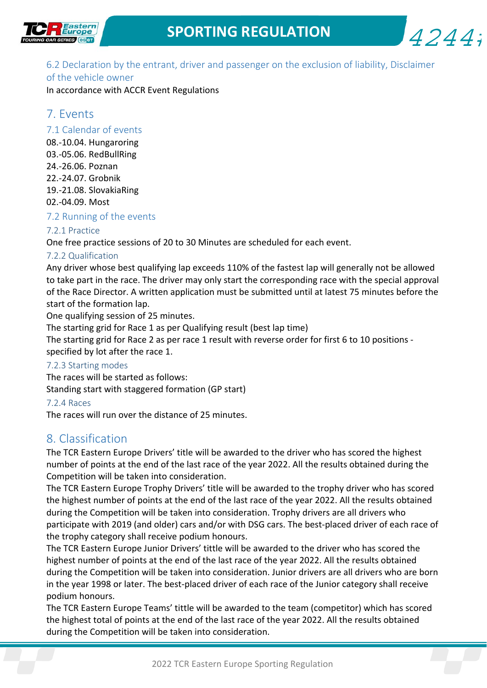



6.2 Declaration by the entrant, driver and passenger on the exclusion of liability, Disclaimer

## of the vehicle owner

In accordance with ACCR Event Regulations

# 7. Events

## 7.1 Calendar of events

08.‐10.04. Hungaroring 03.‐05.06. RedBullRing 24.‐26.06. Poznan 22.‐24.07. Grobnik 19.‐21.08. SlovakiaRing 02.‐04.09. Most

## 7.2 Running of the events

## 7.2.1 Practice

One free practice sessions of 20 to 30 Minutes are scheduled for each event.

## 7.2.2 Qualification

Any driver whose best qualifying lap exceeds 110% of the fastest lap will generally not be allowed to take part in the race. The driver may only start the corresponding race with the special approval of the Race Director. A written application must be submitted until at latest 75 minutes before the start of the formation lap.

One qualifying session of 25 minutes.

The starting grid for Race 1 as per Qualifying result (best lap time)

The starting grid for Race 2 as per race 1 result with reverse order for first 6 to 10 positions ‐ specified by lot after the race 1.

## 7.2.3 Starting modes

The races will be started as follows: Standing start with staggered formation (GP start)

## 7.2.4 Races

The races will run over the distance of 25 minutes.

# 8. Classification

The TCR Eastern Europe Drivers' title will be awarded to the driver who has scored the highest number of points at the end of the last race of the year 2022. All the results obtained during the Competition will be taken into consideration.

The TCR Eastern Europe Trophy Drivers' title will be awarded to the trophy driver who has scored the highest number of points at the end of the last race of the year 2022. All the results obtained during the Competition will be taken into consideration. Trophy drivers are all drivers who participate with 2019 (and older) cars and/or with DSG cars. The best-placed driver of each race of the trophy category shall receive podium honours.

The TCR Eastern Europe Junior Drivers' tittle will be awarded to the driver who has scored the highest number of points at the end of the last race of the year 2022. All the results obtained during the Competition will be taken into consideration. Junior drivers are all drivers who are born in the year 1998 or later. The best-placed driver of each race of the Junior category shall receive podium honours.

2022 TCR Eastern Europe Sporting Regulation The TCR Eastern Europe Teams' tittle will be awarded to the team (competitor) which has scored the highest total of points at the end of the last race of the year 2022. All the results obtained during the Competition will be taken into consideration.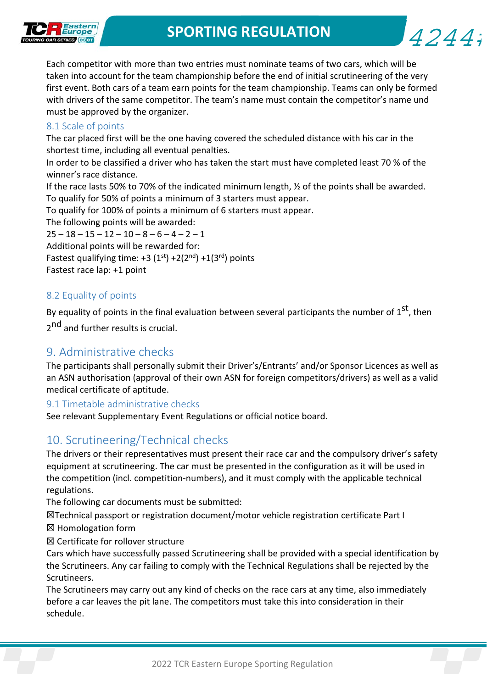

4244;

Each competitor with more than two entries must nominate teams of two cars, which will be taken into account for the team championship before the end of initial scrutineering of the very first event. Both cars of a team earn points for the team championship. Teams can only be formed with drivers of the same competitor. The team's name must contain the competitor's name und must be approved by the organizer.

#### 8.1 Scale of points

The car placed first will be the one having covered the scheduled distance with his car in the shortest time, including all eventual penalties.

In order to be classified a driver who has taken the start must have completed least 70 % of the winner's race distance.

If the race lasts 50% to 70% of the indicated minimum length, ½ of the points shall be awarded. To qualify for 50% of points a minimum of 3 starters must appear.

To qualify for 100% of points a minimum of 6 starters must appear.

The following points will be awarded:

 $25 - 18 - 15 - 12 - 10 - 8 - 6 - 4 - 2 - 1$ Additional points will be rewarded for: Fastest qualifying time:  $+3$  (1<sup>st</sup>)  $+2(2^{nd})$  +1(3<sup>rd</sup>) points Fastest race lap: +1 point

## 8.2 Equality of points

By equality of points in the final evaluation between several participants the number of  $1<sup>st</sup>$ , then 2<sup>nd</sup> and further results is crucial.

## 9. Administrative checks

The participants shall personally submit their Driver's/Entrants' and/or Sponsor Licences as well as an ASN authorisation (approval of their own ASN for foreign competitors/drivers) as well as a valid medical certificate of aptitude.

## 9.1 Timetable administrative checks

See relevant Supplementary Event Regulations or official notice board.

# 10. Scrutineering/Technical checks

The drivers or their representatives must present their race car and the compulsory driver's safety equipment at scrutineering. The car must be presented in the configuration as it will be used in the competition (incl. competition‐numbers), and it must comply with the applicable technical regulations.

The following car documents must be submitted:

☒Technical passport or registration document/motor vehicle registration certificate Part I

☒ Homologation form

☒ Certificate for rollover structure

Cars which have successfully passed Scrutineering shall be provided with a special identification by the Scrutineers. Any car failing to comply with the Technical Regulations shall be rejected by the Scrutineers.

The Scrutineers may carry out any kind of checks on the race cars at any time, also immediately before a car leaves the pit lane. The competitors must take this into consideration in their schedule.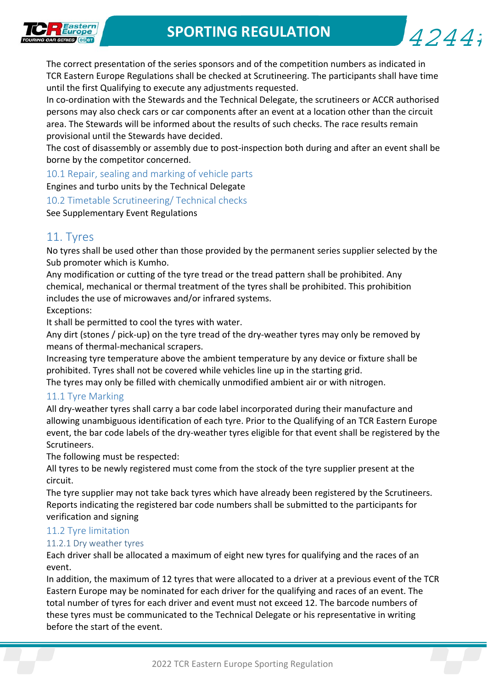$4244:$ 



The correct presentation of the series sponsors and of the competition numbers as indicated in TCR Eastern Europe Regulations shall be checked at Scrutineering. The participants shall have time until the first Qualifying to execute any adjustments requested.

In co-ordination with the Stewards and the Technical Delegate, the scrutineers or ACCR authorised persons may also check cars or car components after an event at a location other than the circuit area. The Stewards will be informed about the results of such checks. The race results remain provisional until the Stewards have decided.

The cost of disassembly or assembly due to post-inspection both during and after an event shall be borne by the competitor concerned.

10.1 Repair, sealing and marking of vehicle parts Engines and turbo units by the Technical Delegate

10.2 Timetable Scrutineering/ Technical checks

See Supplementary Event Regulations

## 11. Tyres

No tyres shall be used other than those provided by the permanent series supplier selected by the Sub promoter which is Kumho.

Any modification or cutting of the tyre tread or the tread pattern shall be prohibited. Any chemical, mechanical or thermal treatment of the tyres shall be prohibited. This prohibition includes the use of microwaves and/or infrared systems.

Exceptions:

It shall be permitted to cool the tyres with water.

Any dirt (stones / pick‐up) on the tyre tread of the dry‐weather tyres may only be removed by means of thermal‐mechanical scrapers.

Increasing tyre temperature above the ambient temperature by any device or fixture shall be prohibited. Tyres shall not be covered while vehicles line up in the starting grid.

The tyres may only be filled with chemically unmodified ambient air or with nitrogen.

## 11.1 Tyre Marking

All dry‐weather tyres shall carry a bar code label incorporated during their manufacture and allowing unambiguous identification of each tyre. Prior to the Qualifying of an TCR Eastern Europe event, the bar code labels of the dry‐weather tyres eligible for that event shall be registered by the Scrutineers.

The following must be respected:

All tyres to be newly registered must come from the stock of the tyre supplier present at the circuit.

The tyre supplier may not take back tyres which have already been registered by the Scrutineers. Reports indicating the registered bar code numbers shall be submitted to the participants for verification and signing

## 11.2 Tyre limitation

## 11.2.1 Dry weather tyres

Each driver shall be allocated a maximum of eight new tyres for qualifying and the races of an event.

In addition, the maximum of 12 tyres that were allocated to a driver at a previous event of the TCR Eastern Europe may be nominated for each driver for the qualifying and races of an event. The total number of tyres for each driver and event must not exceed 12. The barcode numbers of these tyres must be communicated to the Technical Delegate or his representative in writing before the start of the event.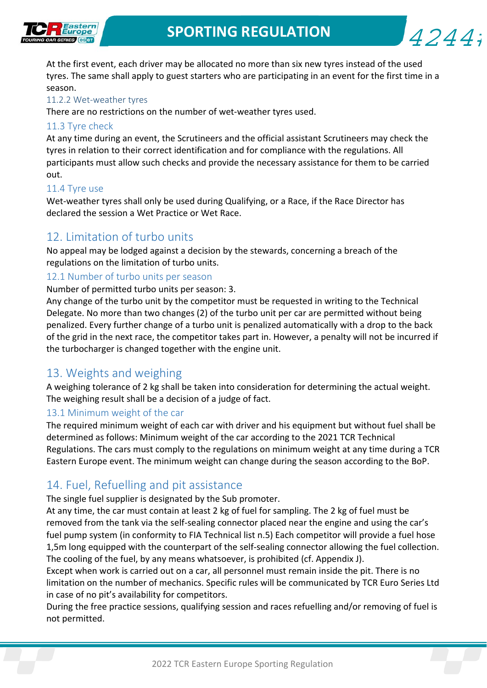

4244;

At the first event, each driver may be allocated no more than six new tyres instead of the used tyres. The same shall apply to guest starters who are participating in an event for the first time in a season.

#### 11.2.2 Wet‐weather tyres

There are no restrictions on the number of wet-weather tyres used.

#### 11.3 Tyre check

At any time during an event, the Scrutineers and the official assistant Scrutineers may check the tyres in relation to their correct identification and for compliance with the regulations. All participants must allow such checks and provide the necessary assistance for them to be carried out.

#### 11.4 Tyre use

Wet-weather tyres shall only be used during Qualifying, or a Race, if the Race Director has declared the session a Wet Practice or Wet Race.

## 12. Limitation of turbo units

No appeal may be lodged against a decision by the stewards, concerning a breach of the regulations on the limitation of turbo units.

#### 12.1 Number of turbo units per season

Number of permitted turbo units per season: 3.

Any change of the turbo unit by the competitor must be requested in writing to the Technical Delegate. No more than two changes (2) of the turbo unit per car are permitted without being penalized. Every further change of a turbo unit is penalized automatically with a drop to the back of the grid in the next race, the competitor takes part in. However, a penalty will not be incurred if the turbocharger is changed together with the engine unit.

## 13. Weights and weighing

A weighing tolerance of 2 kg shall be taken into consideration for determining the actual weight. The weighing result shall be a decision of a judge of fact.

#### 13.1 Minimum weight of the car

The required minimum weight of each car with driver and his equipment but without fuel shall be determined as follows: Minimum weight of the car according to the 2021 TCR Technical Regulations. The cars must comply to the regulations on minimum weight at any time during a TCR Eastern Europe event. The minimum weight can change during the season according to the BoP.

## 14. Fuel, Refuelling and pit assistance

#### The single fuel supplier is designated by the Sub promoter.

At any time, the car must contain at least 2 kg of fuel for sampling. The 2 kg of fuel must be removed from the tank via the self‐sealing connector placed near the engine and using the car's fuel pump system (in conformity to FIA Technical list n.5) Each competitor will provide a fuel hose 1,5m long equipped with the counterpart of the self‐sealing connector allowing the fuel collection. The cooling of the fuel, by any means whatsoever, is prohibited (cf. Appendix J).

Except when work is carried out on a car, all personnel must remain inside the pit. There is no limitation on the number of mechanics. Specific rules will be communicated by TCR Euro Series Ltd in case of no pit's availability for competitors.

During the free practice sessions, qualifying session and races refuelling and/or removing of fuel is not permitted.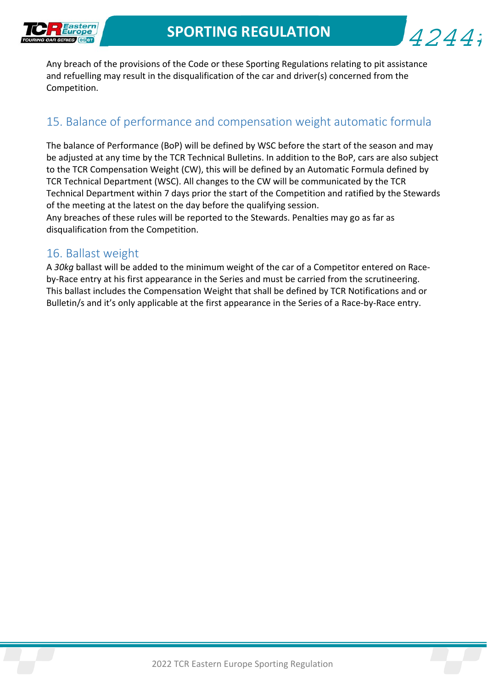

$$
4244i
$$

Any breach of the provisions of the Code or these Sporting Regulations relating to pit assistance and refuelling may result in the disqualification of the car and driver(s) concerned from the Competition.

# 15. Balance of performance and compensation weight automatic formula

The balance of Performance (BoP) will be defined by WSC before the start of the season and may be adjusted at any time by the TCR Technical Bulletins. In addition to the BoP, cars are also subject to the TCR Compensation Weight (CW), this will be defined by an Automatic Formula defined by TCR Technical Department (WSC). All changes to the CW will be communicated by the TCR Technical Department within 7 days prior the start of the Competition and ratified by the Stewards of the meeting at the latest on the day before the qualifying session.

Any breaches of these rules will be reported to the Stewards. Penalties may go as far as disqualification from the Competition.

## 16. Ballast weight

A *30kg* ballast will be added to the minimum weight of the car of a Competitor entered on Race‐ by‐Race entry at his first appearance in the Series and must be carried from the scrutineering. This ballast includes the Compensation Weight that shall be defined by TCR Notifications and or Bulletin/s and it's only applicable at the first appearance in the Series of a Race‐by‐Race entry.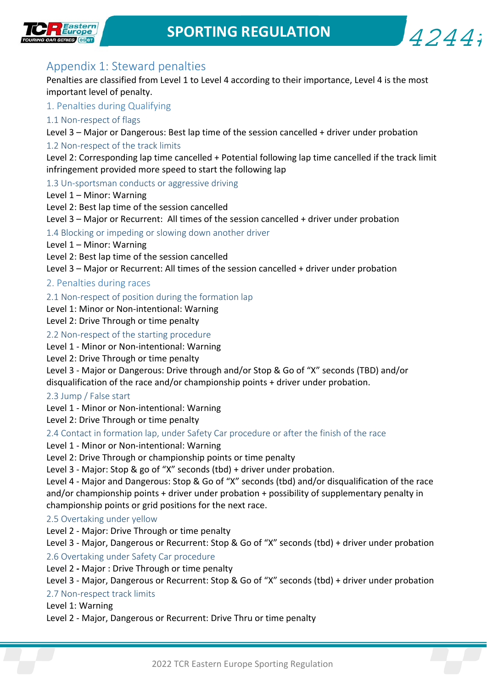

$$
4244i
$$

# Appendix 1: Steward penalties

Penalties are classified from Level 1 to Level 4 according to their importance, Level 4 is the most important level of penalty.

#### 1. Penalties during Qualifying

#### 1.1 Non‐respect of flags

Level 3 – Major or Dangerous: Best lap time of the session cancelled + driver under probation

#### 1.2 Non-respect of the track limits

Level 2: Corresponding lap time cancelled + Potential following lap time cancelled if the track limit infringement provided more speed to start the following lap

#### 1.3 Un‐sportsman conducts or aggressive driving

Level 1 – Minor: Warning

Level 2: Best lap time of the session cancelled

Level 3 – Major or Recurrent: All times of the session cancelled + driver under probation

1.4 Blocking or impeding or slowing down another driver

Level 1 – Minor: Warning

Level 2: Best lap time of the session cancelled

Level 3 – Major or Recurrent: All times of the session cancelled + driver under probation

#### 2. Penalties during races

2.1 Non-respect of position during the formation lap

Level 1: Minor or Non‐intentional: Warning

Level 2: Drive Through or time penalty

2.2 Non‐respect of the starting procedure

Level 1 - Minor or Non-intentional: Warning

Level 2: Drive Through or time penalty

Level 3 ‐ Major or Dangerous: Drive through and/or Stop & Go of "X" seconds (TBD) and/or disqualification of the race and/or championship points + driver under probation.

#### 2.3 Jump / False start

Level 1 ‐ Minor or Non‐intentional: Warning

Level 2: Drive Through or time penalty

#### 2.4 Contact in formation lap, under Safety Car procedure or after the finish of the race

Level 1 ‐ Minor or Non‐intentional: Warning

Level 2: Drive Through or championship points or time penalty

Level 3 - Major: Stop & go of "X" seconds (tbd) + driver under probation.

Level 4 ‐ Major and Dangerous: Stop & Go of "X" seconds (tbd) and/or disqualification of the race and/or championship points + driver under probation + possibility of supplementary penalty in championship points or grid positions for the next race.

#### 2.5 Overtaking under yellow

Level 2 ‐ Major: Drive Through or time penalty

Level 3 ‐ Major, Dangerous or Recurrent: Stop & Go of "X" seconds (tbd) + driver under probation 2.6 Overtaking under Safety Car procedure

Level 2 *‐* Major : Drive Through or time penalty

#### Level 3 - Major, Dangerous or Recurrent: Stop & Go of "X" seconds (tbd) + driver under probation

#### 2.7 Non‐respect track limits

Level 1: Warning

Level 2 ‐ Major, Dangerous or Recurrent: Drive Thru or time penalty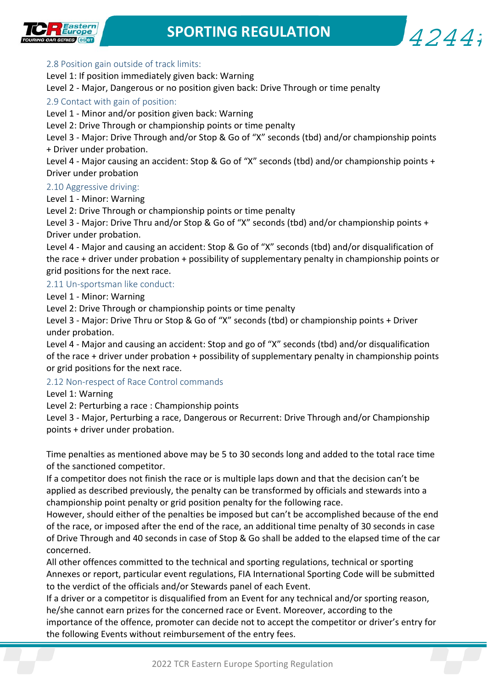

$$
4244i
$$

## 2.8 Position gain outside of track limits:

Level 1: If position immediately given back: Warning

Level 2 - Major, Dangerous or no position given back: Drive Through or time penalty

## 2.9 Contact with gain of position:

Level 1 ‐ Minor and/or position given back: Warning

Level 2: Drive Through or championship points or time penalty

Level 3 - Major: Drive Through and/or Stop & Go of "X" seconds (tbd) and/or championship points + Driver under probation.

Level 4 - Major causing an accident: Stop & Go of "X" seconds (tbd) and/or championship points + Driver under probation

## 2.10 Aggressive driving:

Level 1 ‐ Minor: Warning

Level 2: Drive Through or championship points or time penalty

Level 3 - Major: Drive Thru and/or Stop & Go of "X" seconds (tbd) and/or championship points + Driver under probation.

Level 4 ‐ Major and causing an accident: Stop & Go of "X" seconds (tbd) and/or disqualification of the race + driver under probation + possibility of supplementary penalty in championship points or grid positions for the next race.

## 2.11 Un‐sportsman like conduct:

Level 1 ‐ Minor: Warning

Level 2: Drive Through or championship points or time penalty

Level 3 - Major: Drive Thru or Stop & Go of "X" seconds (tbd) or championship points + Driver under probation.

Level 4 ‐ Major and causing an accident: Stop and go of "X" seconds (tbd) and/or disqualification of the race + driver under probation + possibility of supplementary penalty in championship points or grid positions for the next race.

## 2.12 Non‐respect of Race Control commands

Level 1: Warning

Level 2: Perturbing a race : Championship points

Level 3 ‐ Major, Perturbing a race, Dangerous or Recurrent: Drive Through and/or Championship points + driver under probation.

Time penalties as mentioned above may be 5 to 30 seconds long and added to the total race time of the sanctioned competitor.

If a competitor does not finish the race or is multiple laps down and that the decision can't be applied as described previously, the penalty can be transformed by officials and stewards into a championship point penalty or grid position penalty for the following race.

However, should either of the penalties be imposed but can't be accomplished because of the end of the race, or imposed after the end of the race, an additional time penalty of 30 seconds in case of Drive Through and 40 seconds in case of Stop & Go shall be added to the elapsed time of the car concerned.

All other offences committed to the technical and sporting regulations, technical or sporting Annexes or report, particular event regulations, FIA International Sporting Code will be submitted to the verdict of the officials and/or Stewards panel of each Event.

The following Events without reimbursement of the entry rees.<br>2022 TCR Eastern Europe Sporting Regulation If a driver or a competitor is disqualified from an Event for any technical and/or sporting reason, he/she cannot earn prizes for the concerned race or Event. Moreover, according to the importance of the offence, promoter can decide not to accept the competitor or driver's entry for the following Events without reimbursement of the entry fees.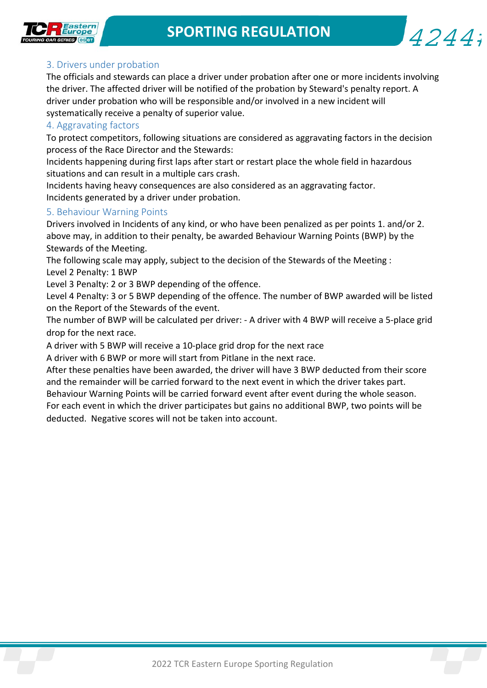$4244;$ 



#### 3. Drivers under probation

The officials and stewards can place a driver under probation after one or more incidents involving the driver. The affected driver will be notified of the probation by Steward's penalty report. A driver under probation who will be responsible and/or involved in a new incident will systematically receive a penalty of superior value.

#### 4. Aggravating factors

To protect competitors, following situations are considered as aggravating factors in the decision process of the Race Director and the Stewards:

Incidents happening during first laps after start or restart place the whole field in hazardous situations and can result in a multiple cars crash.

Incidents having heavy consequences are also considered as an aggravating factor. Incidents generated by a driver under probation.

#### 5. Behaviour Warning Points

Drivers involved in Incidents of any kind, or who have been penalized as per points 1. and/or 2. above may, in addition to their penalty, be awarded Behaviour Warning Points (BWP) by the Stewards of the Meeting.

The following scale may apply, subject to the decision of the Stewards of the Meeting : Level 2 Penalty: 1 BWP

Level 3 Penalty: 2 or 3 BWP depending of the offence.

Level 4 Penalty: 3 or 5 BWP depending of the offence. The number of BWP awarded will be listed on the Report of the Stewards of the event.

The number of BWP will be calculated per driver: ‐ A driver with 4 BWP will receive a 5‐place grid drop for the next race.

A driver with 5 BWP will receive a 10‐place grid drop for the next race

A driver with 6 BWP or more will start from Pitlane in the next race.

After these penalties have been awarded, the driver will have 3 BWP deducted from their score and the remainder will be carried forward to the next event in which the driver takes part.

Behaviour Warning Points will be carried forward event after event during the whole season. For each event in which the driver participates but gains no additional BWP, two points will be deducted. Negative scores will not be taken into account.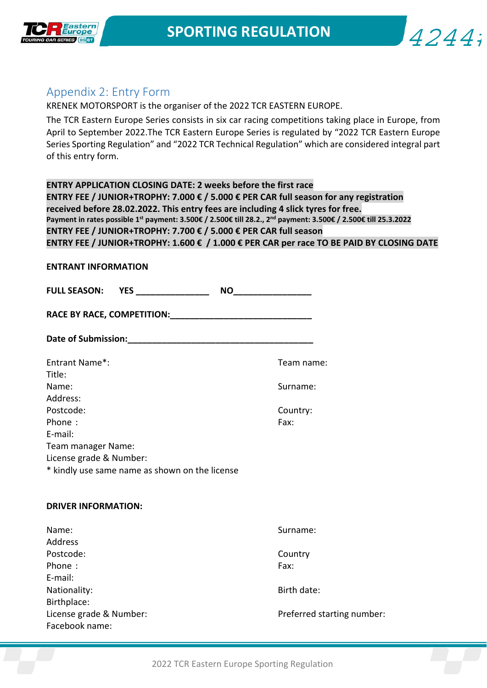

$$
4244\mathbf{i}
$$

## Appendix 2: Entry Form

KRENEK MOTORSPORT is the organiser of the 2022 TCR EASTERN EUROPE.

The TCR Eastern Europe Series consists in six car racing competitions taking place in Europe, from April to September 2022.The TCR Eastern Europe Series is regulated by "2022 TCR Eastern Europe Series Sporting Regulation" and "2022 TCR Technical Regulation" which are considered integral part of this entry form.

**ENTRY APPLICATION CLOSING DATE: 2 weeks before the first race ENTRY FEE / JUNIOR+TROPHY: 7.000 € / 5.000 € PER CAR full season for any registration received before 28.02.2022. This entry fees are including 4 slick tyres for free. Payment in rates possible 1st payment: 3.500€ / 2.500€ till 28.2., 2nd payment: 3.500€ / 2.500€ till 25.3.2022 ENTRY FEE / JUNIOR+TROPHY: 7.700 € / 5.000 € PER CAR full season ENTRY FEE / JUNIOR+TROPHY: 1.600 € / 1.000 € PER CAR per race TO BE PAID BY CLOSING DATE** 

| <b>ENTRANT INFORMATION</b>                     |                            |  |  |  |  |  |
|------------------------------------------------|----------------------------|--|--|--|--|--|
| <b>FULL SEASON: YES</b> ________________       |                            |  |  |  |  |  |
|                                                |                            |  |  |  |  |  |
|                                                |                            |  |  |  |  |  |
| Entrant Name*:<br>Title:                       | Team name:                 |  |  |  |  |  |
| Name:<br>Address:                              | Surname:                   |  |  |  |  |  |
| Postcode:                                      | Country:                   |  |  |  |  |  |
| Phone:                                         | Fax:                       |  |  |  |  |  |
| E-mail:                                        |                            |  |  |  |  |  |
| Team manager Name:                             |                            |  |  |  |  |  |
| License grade & Number:                        |                            |  |  |  |  |  |
| * kindly use same name as shown on the license |                            |  |  |  |  |  |
| <b>DRIVER INFORMATION:</b>                     |                            |  |  |  |  |  |
| Name:                                          | Surname:                   |  |  |  |  |  |
| Address                                        |                            |  |  |  |  |  |
| Postcode:                                      | Country                    |  |  |  |  |  |
| Phone:                                         | Fax:                       |  |  |  |  |  |
| E-mail:<br>Nationality:<br>Birthplace:         | Birth date:                |  |  |  |  |  |
| License grade & Number:<br>Facebook name:      | Preferred starting number: |  |  |  |  |  |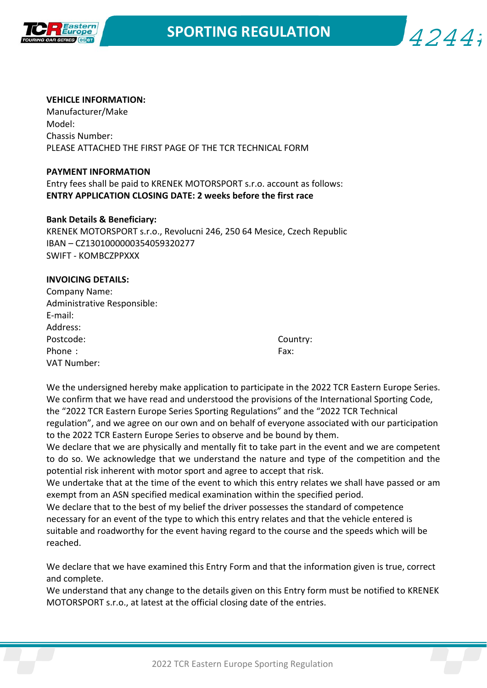

 $4244:$ 

#### **VEHICLE INFORMATION:**

Manufacturer/Make Model: Chassis Number: PLEASE ATTACHED THE FIRST PAGE OF THE TCR TECHNICAL FORM

#### **PAYMENT INFORMATION**

Entry fees shall be paid to KRENEK MOTORSPORT s.r.o. account as follows: **ENTRY APPLICATION CLOSING DATE: 2 weeks before the first race** 

#### **Bank Details & Beneficiary:**

KRENEK MOTORSPORT s.r.o., Revolucni 246, 250 64 Mesice, Czech Republic IBAN – CZ1301000000354059320277 SWIFT ‐ KOMBCZPPXXX

#### **INVOICING DETAILS:**

| Company Name:               |      |
|-----------------------------|------|
| Administrative Responsible: |      |
| E-mail:                     |      |
| Address:                    |      |
| Postcode:                   | Cour |
| Phone:                      | Fax: |
| VAT Number:                 |      |
|                             |      |

Country:

We the undersigned hereby make application to participate in the 2022 TCR Eastern Europe Series. We confirm that we have read and understood the provisions of the International Sporting Code, the "2022 TCR Eastern Europe Series Sporting Regulations" and the "2022 TCR Technical regulation", and we agree on our own and on behalf of everyone associated with our participation to the 2022 TCR Eastern Europe Series to observe and be bound by them.

We declare that we are physically and mentally fit to take part in the event and we are competent to do so. We acknowledge that we understand the nature and type of the competition and the potential risk inherent with motor sport and agree to accept that risk.

We undertake that at the time of the event to which this entry relates we shall have passed or am exempt from an ASN specified medical examination within the specified period.

We declare that to the best of my belief the driver possesses the standard of competence necessary for an event of the type to which this entry relates and that the vehicle entered is suitable and roadworthy for the event having regard to the course and the speeds which will be reached.

We declare that we have examined this Entry Form and that the information given is true, correct and complete.

We understand that any change to the details given on this Entry form must be notified to KRENEK MOTORSPORT s.r.o., at latest at the official closing date of the entries.